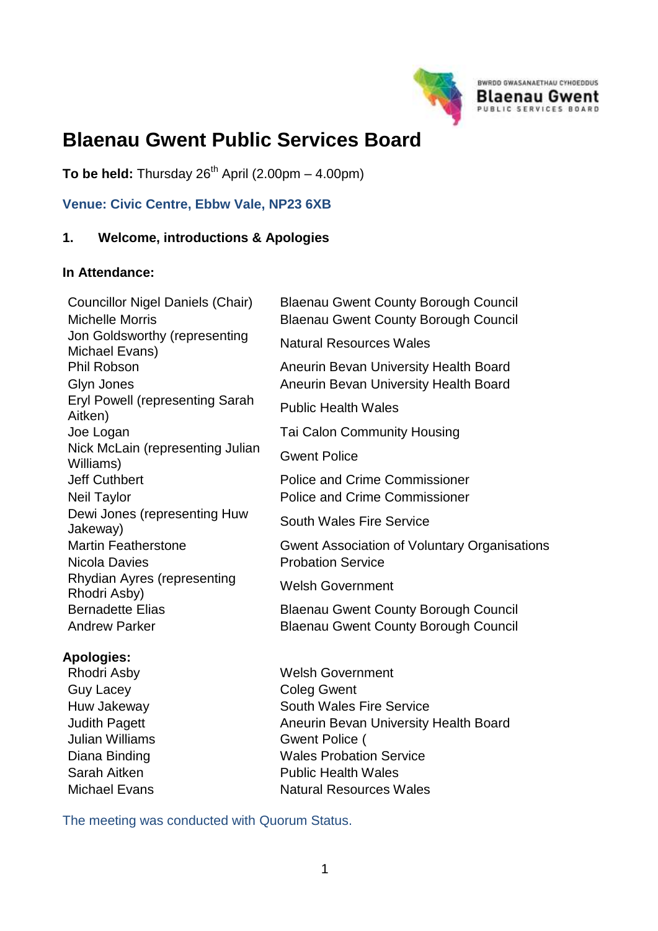

# **Blaenau Gwent Public Services Board**

**To be held:** Thursday  $26^{th}$  April (2.00pm – 4.00pm)

## **Venue: Civic Centre, Ebbw Vale, NP23 6XB**

#### **1. Welcome, introductions & Apologies**

#### **In Attendance:**

Councillor Nigel Daniels (Chair) Blaenau Gwent County Borough Council Michelle Morris Blaenau Gwent County Borough Council Jon Goldsworthy (representing Michael Evans) Phil Robson Aneurin Bevan University Health Board Glyn Jones **Aneurin Bevan University Health Board** Eryl Powell (representing Sarah Eryl Powell (representing Sarah Public Health Wales<br>Aitken) Joe Logan Tai Calon Community Housing Nick McLain (representing Julian Williams) Gwent Police Jeff Cuthbert Police and Crime Commissioner Neil Taylor **Neil Taylor** Police and Crime Commissioner Dewi Jones (representing Huw Dew Jones (representing Huw South Wales Fire Service<br>Jakeway) Martin Featherstone Gwent Association of Voluntary Organisations Nicola Davies **Probation** Service Rhydian Ayres (representing Rhodri Ayres (representing welsh Government<br>Rhodri Asby) Bernadette Elias **Blaenau Gwent County Borough Council** Andrew Parker **Blaenau Gwent County Borough Council** 

#### **Apologies:**

Rhodri Asby Welsh Government Guy Lacey **Coleg Gwent** Huw Jakeway **South Wales Fire Service** Judith Pagett **Aneurin Bevan University Health Board** Julian Williams Gwent Police ( Diana Binding **Wales Probation Service** Sarah Aitken **Public Health Wales** Michael Evans Natural Resources Wales

The meeting was conducted with Quorum Status.

Natural Resources Wales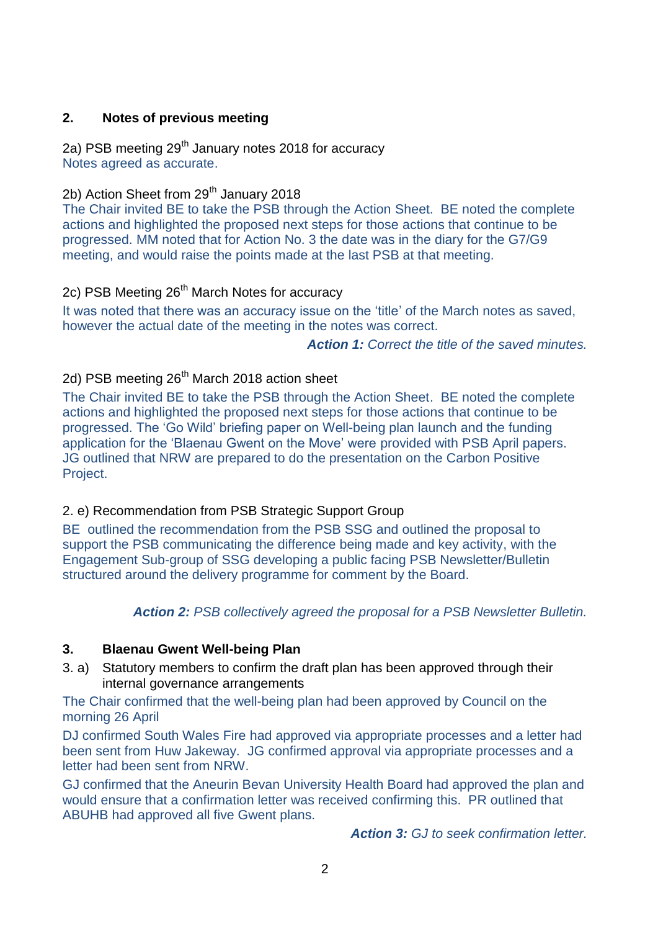## **2. Notes of previous meeting**

2a) PSB meeting  $29<sup>th</sup>$  January notes 2018 for accuracy Notes agreed as accurate.

2b) Action Sheet from 29<sup>th</sup> January 2018

The Chair invited BE to take the PSB through the Action Sheet. BE noted the complete actions and highlighted the proposed next steps for those actions that continue to be progressed. MM noted that for Action No. 3 the date was in the diary for the G7/G9 meeting, and would raise the points made at the last PSB at that meeting.

# 2c) PSB Meeting 26<sup>th</sup> March Notes for accuracy

It was noted that there was an accuracy issue on the 'title' of the March notes as saved, however the actual date of the meeting in the notes was correct.

*Action 1: Correct the title of the saved minutes.*

# 2d) PSB meeting 26<sup>th</sup> March 2018 action sheet

The Chair invited BE to take the PSB through the Action Sheet. BE noted the complete actions and highlighted the proposed next steps for those actions that continue to be progressed. The 'Go Wild' briefing paper on Well-being plan launch and the funding application for the 'Blaenau Gwent on the Move' were provided with PSB April papers. JG outlined that NRW are prepared to do the presentation on the Carbon Positive Project.

# 2. e) Recommendation from PSB Strategic Support Group

BE outlined the recommendation from the PSB SSG and outlined the proposal to support the PSB communicating the difference being made and key activity, with the Engagement Sub-group of SSG developing a public facing PSB Newsletter/Bulletin structured around the delivery programme for comment by the Board.

*Action 2: PSB collectively agreed the proposal for a PSB Newsletter Bulletin.*

## **3. Blaenau Gwent Well-being Plan**

3. a) Statutory members to confirm the draft plan has been approved through their internal governance arrangements

The Chair confirmed that the well-being plan had been approved by Council on the morning 26 April

DJ confirmed South Wales Fire had approved via appropriate processes and a letter had been sent from Huw Jakeway. JG confirmed approval via appropriate processes and a letter had been sent from NRW.

GJ confirmed that the Aneurin Bevan University Health Board had approved the plan and would ensure that a confirmation letter was received confirming this. PR outlined that ABUHB had approved all five Gwent plans.

*Action 3: GJ to seek confirmation letter.*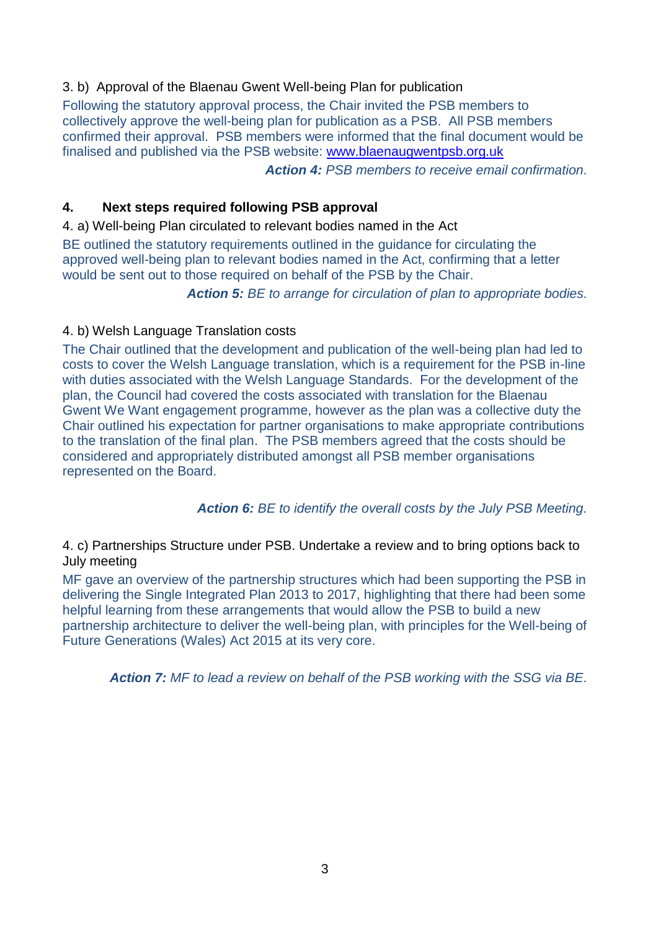# 3. b) Approval of the Blaenau Gwent Well-being Plan for publication

Following the statutory approval process, the Chair invited the PSB members to collectively approve the well-being plan for publication as a PSB. All PSB members confirmed their approval. PSB members were informed that the final document would be finalised and published via the PSB website: [www.blaenaugwentpsb.org.uk](http://www.blaenaugwentpsb.org.uk/) 

*Action 4: PSB members to receive email confirmation.*

## **4. Next steps required following PSB approval**

4. a) Well-being Plan circulated to relevant bodies named in the Act

BE outlined the statutory requirements outlined in the guidance for circulating the approved well-being plan to relevant bodies named in the Act, confirming that a letter would be sent out to those required on behalf of the PSB by the Chair.

*Action 5: BE to arrange for circulation of plan to appropriate bodies.*

## 4. b) Welsh Language Translation costs

The Chair outlined that the development and publication of the well-being plan had led to costs to cover the Welsh Language translation, which is a requirement for the PSB in-line with duties associated with the Welsh Language Standards. For the development of the plan, the Council had covered the costs associated with translation for the Blaenau Gwent We Want engagement programme, however as the plan was a collective duty the Chair outlined his expectation for partner organisations to make appropriate contributions to the translation of the final plan. The PSB members agreed that the costs should be considered and appropriately distributed amongst all PSB member organisations represented on the Board.

## *Action 6: BE to identify the overall costs by the July PSB Meeting.*

#### 4. c) Partnerships Structure under PSB. Undertake a review and to bring options back to July meeting

MF gave an overview of the partnership structures which had been supporting the PSB in delivering the Single Integrated Plan 2013 to 2017, highlighting that there had been some helpful learning from these arrangements that would allow the PSB to build a new partnership architecture to deliver the well-being plan, with principles for the Well-being of Future Generations (Wales) Act 2015 at its very core.

*Action 7: MF to lead a review on behalf of the PSB working with the SSG via BE.*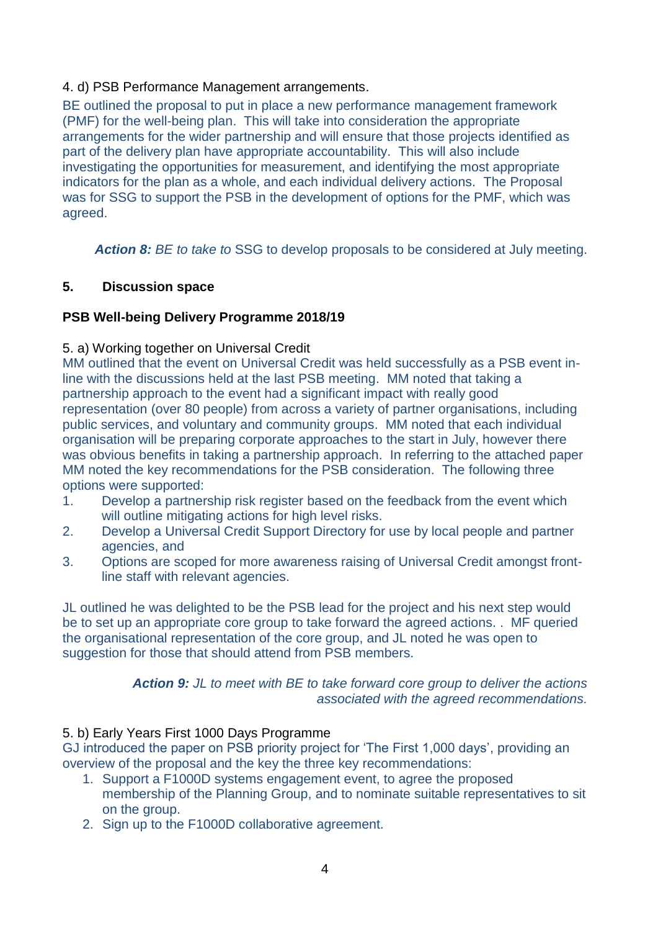#### 4. d) PSB Performance Management arrangements.

BE outlined the proposal to put in place a new performance management framework (PMF) for the well-being plan. This will take into consideration the appropriate arrangements for the wider partnership and will ensure that those projects identified as part of the delivery plan have appropriate accountability. This will also include investigating the opportunities for measurement, and identifying the most appropriate indicators for the plan as a whole, and each individual delivery actions. The Proposal was for SSG to support the PSB in the development of options for the PMF, which was agreed.

**Action 8:** *BE to take to* SSG *to* develop proposals to be considered at July meeting.

#### **5. Discussion space**

#### **PSB Well-being Delivery Programme 2018/19**

#### 5. a) Working together on Universal Credit

MM outlined that the event on Universal Credit was held successfully as a PSB event inline with the discussions held at the last PSB meeting. MM noted that taking a partnership approach to the event had a significant impact with really good representation (over 80 people) from across a variety of partner organisations, including public services, and voluntary and community groups. MM noted that each individual organisation will be preparing corporate approaches to the start in July, however there was obvious benefits in taking a partnership approach. In referring to the attached paper MM noted the key recommendations for the PSB consideration. The following three options were supported:

- 1. Develop a partnership risk register based on the feedback from the event which will outline mitigating actions for high level risks.
- 2. Develop a Universal Credit Support Directory for use by local people and partner agencies, and
- 3. Options are scoped for more awareness raising of Universal Credit amongst frontline staff with relevant agencies.

JL outlined he was delighted to be the PSB lead for the project and his next step would be to set up an appropriate core group to take forward the agreed actions. . MF queried the organisational representation of the core group, and JL noted he was open to suggestion for those that should attend from PSB members.

> *Action 9: JL to meet with BE to take forward core group to deliver the actions associated with the agreed recommendations.*

#### 5. b) Early Years First 1000 Days Programme

GJ introduced the paper on PSB priority project for 'The First 1,000 days', providing an overview of the proposal and the key the three key recommendations:

- 1. Support a F1000D systems engagement event, to agree the proposed membership of the Planning Group, and to nominate suitable representatives to sit on the group.
- 2. Sign up to the F1000D collaborative agreement.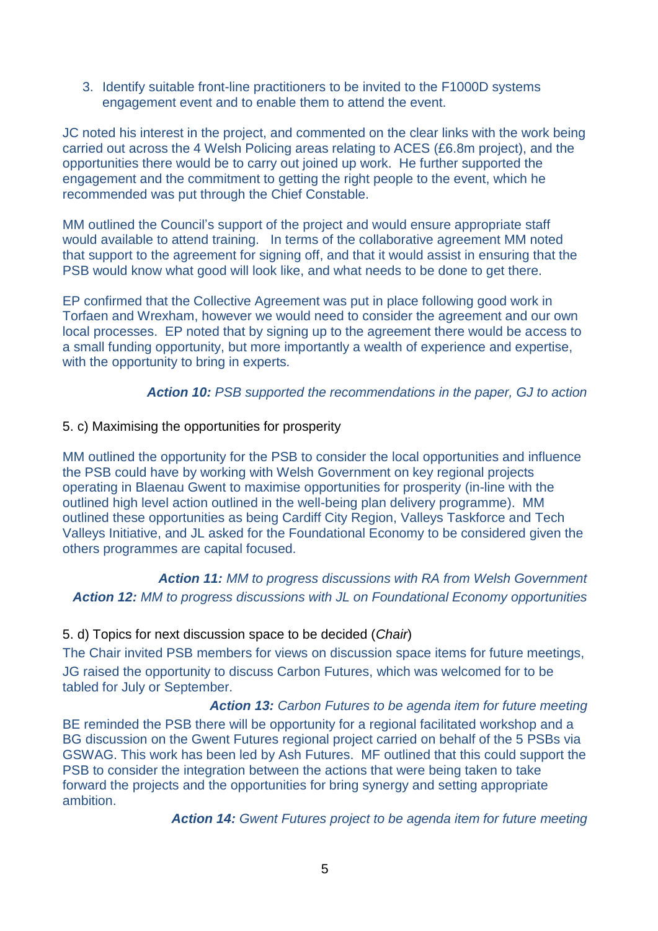3. Identify suitable front-line practitioners to be invited to the F1000D systems engagement event and to enable them to attend the event.

JC noted his interest in the project, and commented on the clear links with the work being carried out across the 4 Welsh Policing areas relating to ACES (£6.8m project), and the opportunities there would be to carry out joined up work. He further supported the engagement and the commitment to getting the right people to the event, which he recommended was put through the Chief Constable.

MM outlined the Council's support of the project and would ensure appropriate staff would available to attend training. In terms of the collaborative agreement MM noted that support to the agreement for signing off, and that it would assist in ensuring that the PSB would know what good will look like, and what needs to be done to get there.

EP confirmed that the Collective Agreement was put in place following good work in Torfaen and Wrexham, however we would need to consider the agreement and our own local processes. EP noted that by signing up to the agreement there would be access to a small funding opportunity, but more importantly a wealth of experience and expertise, with the opportunity to bring in experts*.*

#### *Action 10: PSB supported the recommendations in the paper, GJ to action*

#### 5. c) Maximising the opportunities for prosperity

MM outlined the opportunity for the PSB to consider the local opportunities and influence the PSB could have by working with Welsh Government on key regional projects operating in Blaenau Gwent to maximise opportunities for prosperity (in-line with the outlined high level action outlined in the well-being plan delivery programme). MM outlined these opportunities as being Cardiff City Region, Valleys Taskforce and Tech Valleys Initiative, and JL asked for the Foundational Economy to be considered given the others programmes are capital focused.

*Action 11: MM to progress discussions with RA from Welsh Government Action 12: MM to progress discussions with JL on Foundational Economy opportunities*

## 5. d) Topics for next discussion space to be decided (*Chair*)

The Chair invited PSB members for views on discussion space items for future meetings, JG raised the opportunity to discuss Carbon Futures, which was welcomed for to be tabled for July or September.

*Action 13: Carbon Futures to be agenda item for future meeting*

BE reminded the PSB there will be opportunity for a regional facilitated workshop and a BG discussion on the Gwent Futures regional project carried on behalf of the 5 PSBs via GSWAG. This work has been led by Ash Futures. MF outlined that this could support the PSB to consider the integration between the actions that were being taken to take forward the projects and the opportunities for bring synergy and setting appropriate ambition.

*Action 14: Gwent Futures project to be agenda item for future meeting*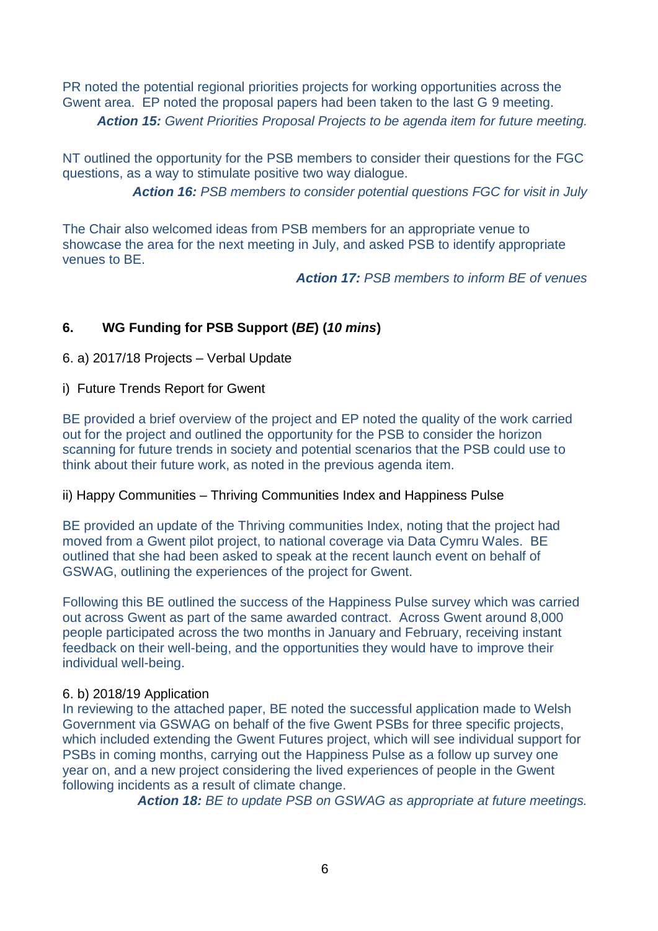PR noted the potential regional priorities projects for working opportunities across the Gwent area. EP noted the proposal papers had been taken to the last G 9 meeting. *Action 15: Gwent Priorities Proposal Projects to be agenda item for future meeting.*

NT outlined the opportunity for the PSB members to consider their questions for the FGC questions, as a way to stimulate positive two way dialogue.

*Action 16: PSB members to consider potential questions FGC for visit in July*

The Chair also welcomed ideas from PSB members for an appropriate venue to showcase the area for the next meeting in July, and asked PSB to identify appropriate venues to BE.

*Action 17: PSB members to inform BE of venues*

# **6. WG Funding for PSB Support (***BE***) (***10 mins***)**

6. a) 2017/18 Projects – Verbal Update

i)Future Trends Report for Gwent

BE provided a brief overview of the project and EP noted the quality of the work carried out for the project and outlined the opportunity for the PSB to consider the horizon scanning for future trends in society and potential scenarios that the PSB could use to think about their future work, as noted in the previous agenda item.

#### ii) Happy Communities – Thriving Communities Index and Happiness Pulse

BE provided an update of the Thriving communities Index, noting that the project had moved from a Gwent pilot project, to national coverage via Data Cymru Wales. BE outlined that she had been asked to speak at the recent launch event on behalf of GSWAG, outlining the experiences of the project for Gwent.

Following this BE outlined the success of the Happiness Pulse survey which was carried out across Gwent as part of the same awarded contract. Across Gwent around 8,000 people participated across the two months in January and February, receiving instant feedback on their well-being, and the opportunities they would have to improve their individual well-being.

#### 6. b) 2018/19 Application

In reviewing to the attached paper, BE noted the successful application made to Welsh Government via GSWAG on behalf of the five Gwent PSBs for three specific projects, which included extending the Gwent Futures project, which will see individual support for PSBs in coming months, carrying out the Happiness Pulse as a follow up survey one year on, and a new project considering the lived experiences of people in the Gwent following incidents as a result of climate change.

*Action 18: BE to update PSB on GSWAG as appropriate at future meetings.*